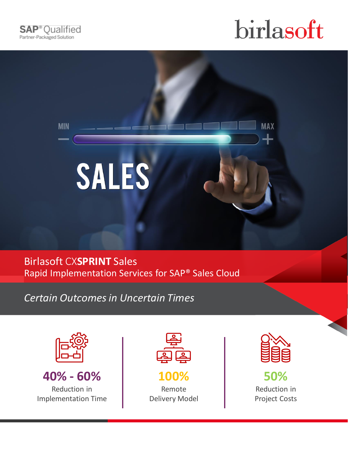

**MIN** 



**MAX** 



Birlasoft CX**SPRINT** Sales Rapid Implementation Services for SAP® Sales Cloud

*Certain Outcomes in Uncertain Times*



**40% - 60%**  Reduction in Implementation Time



**100%**  Remote Delivery Model



**50%** Reduction in Project Costs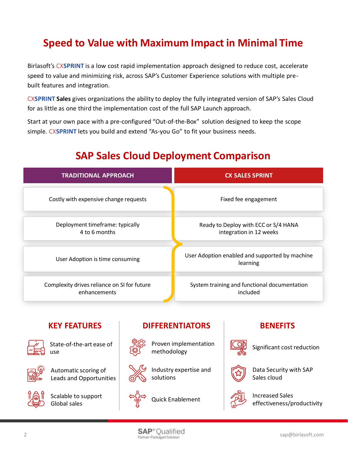# **Speed to Value with Maximum Impact in Minimal Time**

Birlasoft's CX**SPRINT** is a low cost rapid implementation approach designed to reduce cost, accelerate speed to value and minimizing risk, across SAP's Customer Experience solutions with multiple prebuilt features and integration.

CX**SPRINT Sales** gives organizations the ability to deploy the fully integrated version of SAP's Sales Cloud for as little as one third the implementation cost of the full SAP Launch approach.

Start at your own pace with a pre-configured "Out-of-the-Box" solution designed to keep the scope simple. CX**SPRINT** lets you build and extend "As-you Go" to fit your business needs.

| <b>TRADITIONAL APPROACH</b>                                 | <b>CX SALES SPRINT</b>                                          |  |
|-------------------------------------------------------------|-----------------------------------------------------------------|--|
| Costly with expensive change requests                       | Fixed fee engagement                                            |  |
| Deployment timeframe: typically<br>4 to 6 months            | Ready to Deploy with ECC or S/4 HANA<br>integration in 12 weeks |  |
| User Adoption is time consuming                             | User Adoption enabled and supported by machine<br>learning      |  |
| Complexity drives reliance on SI for future<br>enhancements | System training and functional documentation<br>included        |  |

# **SAP Sales Cloud Deployment Comparison**

## **KEY FEATURES**



State-of-the-art ease of use



Automatic scoring of Leads and Opportunities



Scalable to support Global sales

## **DIFFERENTIATORS**



Proven implementation methodology



Industry expertise and solutions



Quick Enablement

## **BENEFITS**



Significant cost reduction



Data Security with SAP Sales cloud



Increased Sales effectiveness/productivity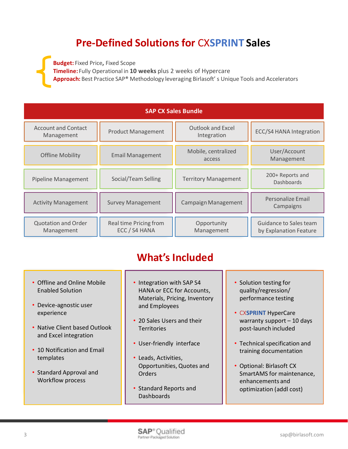# **Pre-Defined Solutions for** CX**SPRINT Sales**

**Budget:** Fixed Price**,** Fixed Scope **Timeline:** Fully Operational in **10 weeks** plus 2 weeks of Hypercare **Approach:** Best Practice SAP® Methodology leveraging Birlasoft' s Unique Tools and Accelerators

| <b>SAP CX Sales Bundle</b>               |                                         |                                         |                                                  |
|------------------------------------------|-----------------------------------------|-----------------------------------------|--------------------------------------------------|
| <b>Account and Contact</b><br>Management | <b>Product Management</b>               | <b>Outlook and Excel</b><br>Integration | ECC/S4 HANA Integration                          |
| <b>Offline Mobility</b>                  | <b>Email Management</b>                 | Mobile, centralized<br>access           | User/Account<br>Management                       |
| <b>Pipeline Management</b>               | Social/Team Selling                     | <b>Territory Management</b>             | 200+ Reports and<br><b>Dashboards</b>            |
| <b>Activity Management</b>               | <b>Survey Management</b>                | Campaign Management                     | Personalize Email<br>Campaigns                   |
| <b>Quotation and Order</b><br>Management | Real time Pricing from<br>ECC / S4 HANA | Opportunity<br>Management               | Guidance to Sales team<br>by Explanation Feature |

# **What's Included**

- Offline and Online Mobile Enabled Solution
- Device-agnostic user experience
- Native Client based Outlook and Excel integration
- 10 Notification and Email templates
- Standard Approval and Workflow process
- Integration with SAP S4 HANA or ECC for Accounts, Materials, Pricing, Inventory and Employees
- 20 Sales Users and their **Territories**
- User-friendly interface
- Leads, Activities, Opportunities, Quotes and **Orders**
- Standard Reports and **Dashboards**
- Solution testing for quality/regression/ performance testing
- CX**SPRINT** HyperCare warranty support – 10 days post-launch included
- Technical specification and training documentation
- Optional: Birlasoft CX SmartAMS for maintenance, enhancements and optimization (addl cost)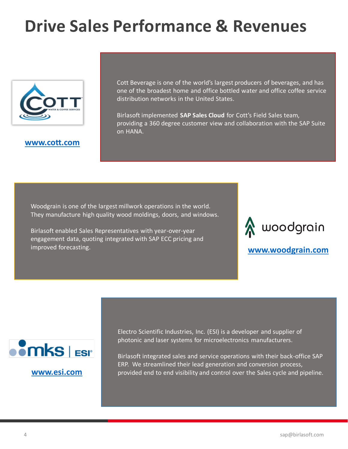# **Drive Sales Performance & Revenues**



## **[www.cott.com](http://www.cott.com/)**

Cott Beverage is one of the world's largest producers of beverages, and has one of the broadest home and office bottled water and office coffee service distribution networks in the United States.

Birlasoft implemented **SAP Sales Cloud** for Cott's Field Sales team, providing a 360 degree customer view and collaboration with the SAP Suite on HANA.

Woodgrain is one of the largest millwork operations in the world. They manufacture high quality wood moldings, doors, and windows.

Birlasoft enabled Sales Representatives with year-over-year engagement data, quoting integrated with SAP ECC pricing and improved forecasting.



**[www.woodgrain.com](http://www.woodgrain.com/)**



Electro Scientific Industries, Inc. (ESI) is a developer and supplier of photonic and laser systems for microelectronics manufacturers.

Birlasoft integrated sales and service operations with their back-office SAP ERP. We streamlined their lead generation and conversion process, **[www.esi.com](http://www.sloan.com/)** provided end to end visibility and control over the Sales cycle and pipeline.